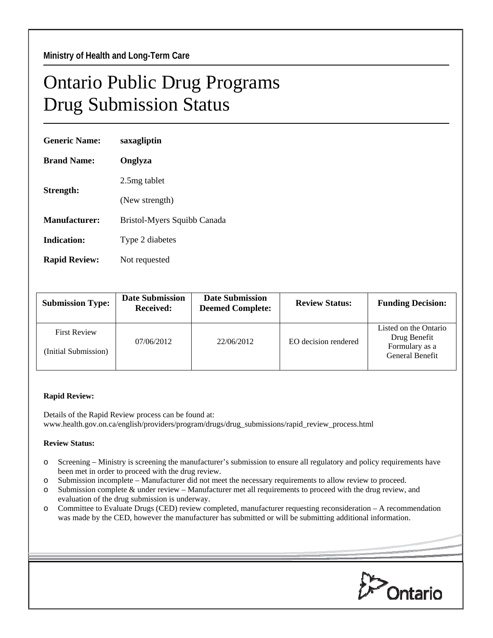## Ontario Public Drug Programs Drug Submission Status

| <b>Generic Name:</b> | saxagliptin                 |  |
|----------------------|-----------------------------|--|
| <b>Brand Name:</b>   | Onglyza                     |  |
| Strength:            | 2.5mg tablet                |  |
|                      | (New strength)              |  |
| Manufacturer:        | Bristol-Myers Squibb Canada |  |
| Indication:          | Type 2 diabetes             |  |
| <b>Rapid Review:</b> | Not requested               |  |
|                      |                             |  |

| <b>Submission Type:</b>                     | <b>Date Submission</b><br><b>Received:</b> | <b>Date Submission</b><br><b>Deemed Complete:</b> | <b>Review Status:</b> | <b>Funding Decision:</b>                                                   |
|---------------------------------------------|--------------------------------------------|---------------------------------------------------|-----------------------|----------------------------------------------------------------------------|
| <b>First Review</b><br>(Initial Submission) | 07/06/2012                                 | 22/06/2012                                        | EO decision rendered  | Listed on the Ontario<br>Drug Benefit<br>Formulary as a<br>General Benefit |

## **Rapid Review:**

Details of the Rapid Review process can be found at: www.health.gov.on.ca/english/providers/program/drugs/drug\_submissions/rapid\_review\_process.html

## **Review Status:**

- o Screening Ministry is screening the manufacturer's submission to ensure all regulatory and policy requirements have been met in order to proceed with the drug review.
- o Submission incomplete Manufacturer did not meet the necessary requirements to allow review to proceed.
- o Submission complete & under review Manufacturer met all requirements to proceed with the drug review, and evaluation of the drug submission is underway.
- o Committee to Evaluate Drugs (CED) review completed, manufacturer requesting reconsideration A recommendation was made by the CED, however the manufacturer has submitted or will be submitting additional information.